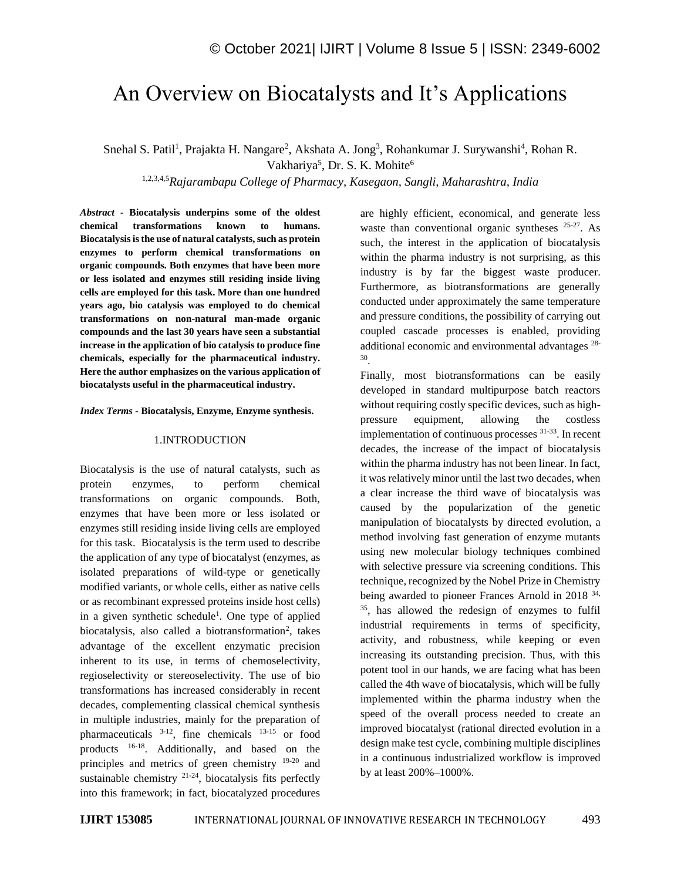# An Overview on Biocatalysts and It's Applications

Snehal S. Patil<sup>1</sup>, Prajakta H. Nangare<sup>2</sup>, Akshata A. Jong<sup>3</sup>, Rohankumar J. Surywanshi<sup>4</sup>, Rohan R. Vakhariya<sup>5</sup>, Dr. S. K. Mohite<sup>6</sup>

1,2,3,4,5*Rajarambapu College of Pharmacy, Kasegaon, Sangli, Maharashtra, India*

*Abstract -* **Biocatalysis underpins some of the oldest chemical transformations known to humans. Biocatalysis is the use of natural catalysts, such as protein enzymes to perform chemical transformations on organic compounds. Both enzymes that have been more or less isolated and enzymes still residing inside living cells are employed for this task. More than one hundred years ago, bio catalysis was employed to do chemical transformations on non-natural man-made organic compounds and the last 30 years have seen a substantial increase in the application of bio catalysis to produce fine chemicals, especially for the pharmaceutical industry. Here the author emphasizes on the various application of biocatalysts useful in the pharmaceutical industry.**

#### *Index Terms -* **Biocatalysis, Enzyme, Enzyme synthesis.**

#### 1.INTRODUCTION

Biocatalysis is the use of natural catalysts, such as protein enzymes, to perform chemical transformations on organic compounds. Both, enzymes that have been more or less isolated or enzymes still residing inside living cells are employed for this task. Biocatalysis is the term used to describe the application of any type of biocatalyst (enzymes, as isolated preparations of wild-type or genetically modified variants, or whole cells, either as native cells or as recombinant expressed proteins inside host cells) in a given synthetic schedule<sup>1</sup>. One type of applied biocatalysis, also called a biotransformation<sup>2</sup>, takes advantage of the excellent enzymatic precision inherent to its use, in terms of chemoselectivity, regioselectivity or stereoselectivity. The use of bio transformations has increased considerably in recent decades, complementing classical chemical synthesis in multiple industries, mainly for the preparation of pharmaceuticals 3-12 , fine chemicals 13-15 or food products 16-18. Additionally, and based on the principles and metrics of green chemistry 19-20 and sustainable chemistry  $21-24$ , biocatalysis fits perfectly into this framework; in fact, biocatalyzed procedures

are highly efficient, economical, and generate less waste than conventional organic syntheses  $25-27$ . As such, the interest in the application of biocatalysis within the pharma industry is not surprising, as this industry is by far the biggest waste producer. Furthermore, as biotransformations are generally conducted under approximately the same temperature and pressure conditions, the possibility of carrying out coupled cascade processes is enabled, providing additional economic and environmental advantages 28- 30 .

Finally, most biotransformations can be easily developed in standard multipurpose batch reactors without requiring costly specific devices, such as highpressure equipment, allowing the costless implementation of continuous processes 31-33. In recent decades, the increase of the impact of biocatalysis within the pharma industry has not been linear. In fact, it was relatively minor until the last two decades, when a clear increase the third wave of biocatalysis was caused by the popularization of the genetic manipulation of biocatalysts by directed evolution, a method involving fast generation of enzyme mutants using new molecular biology techniques combined with selective pressure via screening conditions. This technique, recognized by the Nobel Prize in Chemistry being awarded to pioneer Frances Arnold in 2018 <sup>34,</sup> <sup>35</sup>, has allowed the redesign of enzymes to fulfil industrial requirements in terms of specificity, activity, and robustness, while keeping or even increasing its outstanding precision. Thus, with this potent tool in our hands, we are facing what has been called the 4th wave of biocatalysis, which will be fully implemented within the pharma industry when the speed of the overall process needed to create an improved biocatalyst (rational directed evolution in a design make test cycle, combining multiple disciplines in a continuous industrialized workflow is improved by at least 200%–1000%.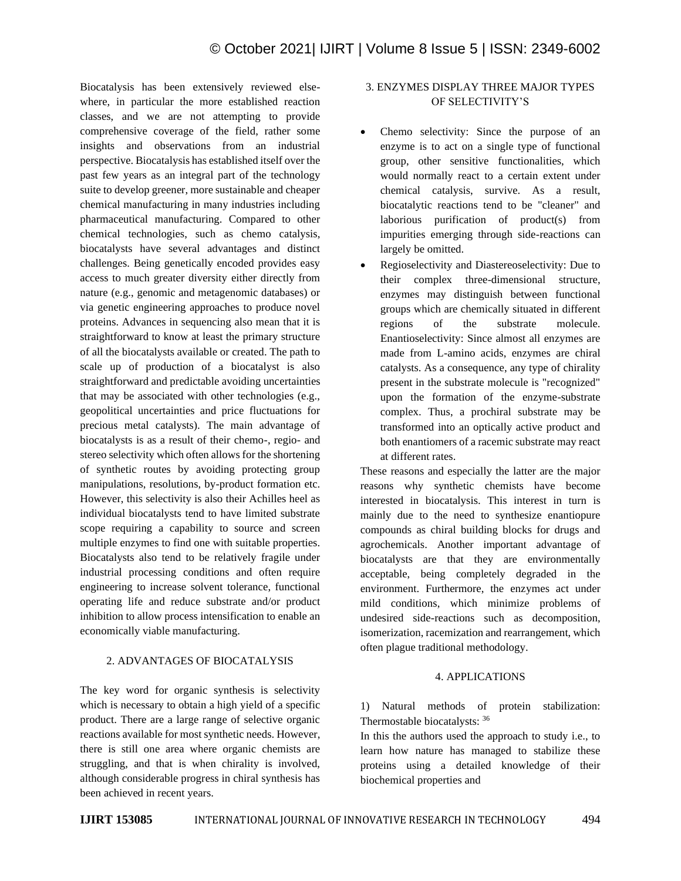Biocatalysis has been extensively reviewed elsewhere, in particular the more established reaction classes, and we are not attempting to provide comprehensive coverage of the field, rather some insights and observations from an industrial perspective. Biocatalysis has established itself over the past few years as an integral part of the technology suite to develop greener, more sustainable and cheaper chemical manufacturing in many industries including pharmaceutical manufacturing. Compared to other chemical technologies, such as chemo catalysis, biocatalysts have several advantages and distinct challenges. Being genetically encoded provides easy access to much greater diversity either directly from nature (e.g., genomic and metagenomic databases) or via genetic engineering approaches to produce novel proteins. Advances in sequencing also mean that it is straightforward to know at least the primary structure of all the biocatalysts available or created. The path to scale up of production of a biocatalyst is also straightforward and predictable avoiding uncertainties that may be associated with other technologies (e.g., geopolitical uncertainties and price fluctuations for precious metal catalysts). The main advantage of biocatalysts is as a result of their chemo-, regio- and stereo selectivity which often allows for the shortening of synthetic routes by avoiding protecting group manipulations, resolutions, by-product formation etc. However, this selectivity is also their Achilles heel as individual biocatalysts tend to have limited substrate scope requiring a capability to source and screen multiple enzymes to find one with suitable properties. Biocatalysts also tend to be relatively fragile under industrial processing conditions and often require engineering to increase solvent tolerance, functional operating life and reduce substrate and/or product inhibition to allow process intensification to enable an economically viable manufacturing.

# 2. ADVANTAGES OF BIOCATALYSIS

The key word for organic synthesis is selectivity which is necessary to obtain a high yield of a specific product. There are a large range of selective organic reactions available for most synthetic needs. However, there is still one area where organic chemists are struggling, and that is when chirality is involved, although considerable progress in chiral synthesis has been achieved in recent years.

# 3. ENZYMES DISPLAY THREE MAJOR TYPES OF SELECTIVITY'S

- Chemo selectivity: Since the purpose of an enzyme is to act on a single type of functional group, other sensitive functionalities, which would normally react to a certain extent under chemical catalysis, survive. As a result, biocatalytic reactions tend to be "cleaner" and laborious purification of product(s) from impurities emerging through side-reactions can largely be omitted.
- Regioselectivity and Diastereoselectivity: Due to their complex three-dimensional structure, enzymes may distinguish between functional groups which are chemically situated in different regions of the substrate molecule. Enantioselectivity: Since almost all enzymes are made from L-amino acids, enzymes are chiral catalysts. As a consequence, any type of chirality present in the substrate molecule is "recognized" upon the formation of the enzyme-substrate complex. Thus, a prochiral substrate may be transformed into an optically active product and both enantiomers of a racemic substrate may react at different rates.

These reasons and especially the latter are the major reasons why synthetic chemists have become interested in biocatalysis. This interest in turn is mainly due to the need to synthesize enantiopure compounds as chiral building blocks for drugs and agrochemicals. Another important advantage of biocatalysts are that they are environmentally acceptable, being completely degraded in the environment. Furthermore, the enzymes act under mild conditions, which minimize problems of undesired side-reactions such as decomposition, isomerization, racemization and rearrangement, which often plague traditional methodology.

# 4. APPLICATIONS

1) Natural methods of protein stabilization: Thermostable biocatalysts: <sup>36</sup>

In this the authors used the approach to study i.e., to learn how nature has managed to stabilize these proteins using a detailed knowledge of their biochemical properties and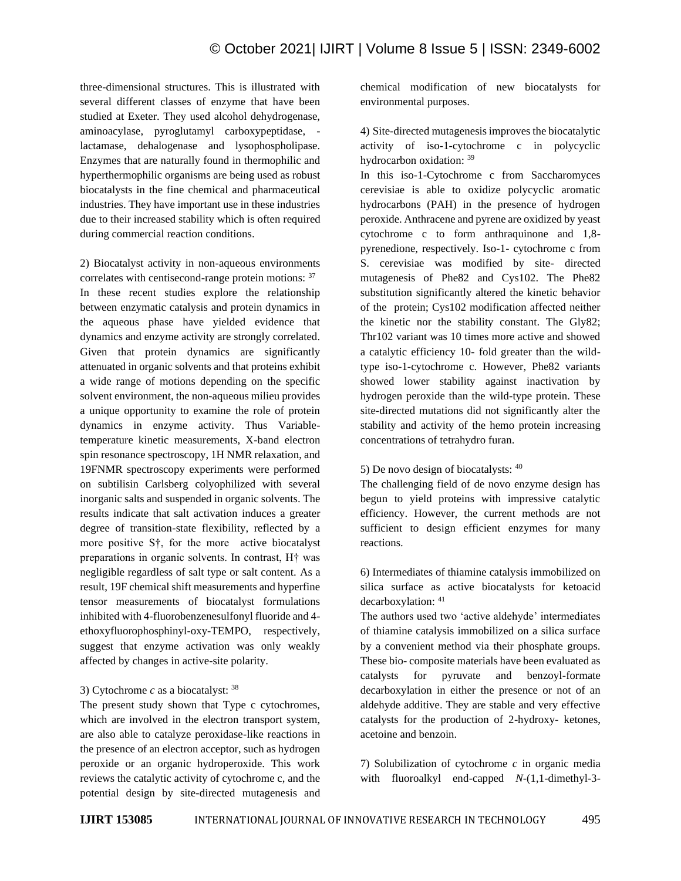three-dimensional structures. This is illustrated with several different classes of enzyme that have been studied at Exeter. They used alcohol dehydrogenase, aminoacylase, pyroglutamyl carboxypeptidase, lactamase, dehalogenase and lysophospholipase. Enzymes that are naturally found in thermophilic and hyperthermophilic organisms are being used as robust biocatalysts in the fine chemical and pharmaceutical industries. They have important use in these industries due to their increased stability which is often required during commercial reaction conditions.

2) Biocatalyst activity in non-aqueous environments correlates with centisecond-range protein motions: <sup>37</sup> In these recent studies explore the relationship between enzymatic catalysis and protein dynamics in the aqueous phase have yielded evidence that dynamics and enzyme activity are strongly correlated. Given that protein dynamics are significantly attenuated in organic solvents and that proteins exhibit a wide range of motions depending on the specific solvent environment, the non-aqueous milieu provides a unique opportunity to examine the role of protein dynamics in enzyme activity. Thus Variabletemperature kinetic measurements, X-band electron spin resonance spectroscopy, 1H NMR relaxation, and 19FNMR spectroscopy experiments were performed on subtilisin Carlsberg colyophilized with several inorganic salts and suspended in organic solvents. The results indicate that salt activation induces a greater degree of transition-state flexibility, reflected by a more positive S†, for the more active biocatalyst preparations in organic solvents. In contrast, H† was negligible regardless of salt type or salt content. As a result, 19F chemical shift measurements and hyperfine tensor measurements of biocatalyst formulations inhibited with 4-fluorobenzenesulfonyl fluoride and 4 ethoxyfluorophosphinyl-oxy-TEMPO, respectively, suggest that enzyme activation was only weakly affected by changes in active-site polarity.

# 3) Cytochrome *c* as a biocatalyst: <sup>38</sup>

The present study shown that Type c cytochromes, which are involved in the electron transport system, are also able to catalyze peroxidase-like reactions in the presence of an electron acceptor, such as hydrogen peroxide or an organic hydroperoxide. This work reviews the catalytic activity of cytochrome c, and the potential design by site-directed mutagenesis and chemical modification of new biocatalysts for environmental purposes.

4) Site-directed mutagenesis improves the biocatalytic activity of iso-1-cytochrome c in polycyclic hydrocarbon oxidation: <sup>39</sup>

In this iso-1-Cytochrome c from Saccharomyces cerevisiae is able to oxidize polycyclic aromatic hydrocarbons (PAH) in the presence of hydrogen peroxide. Anthracene and pyrene are oxidized by yeast cytochrome c to form anthraquinone and 1,8 pyrenedione, respectively. Iso-1- cytochrome c from S. cerevisiae was modified by site- directed mutagenesis of Phe82 and Cys102. The Phe82 substitution significantly altered the kinetic behavior of the protein; Cys102 modification affected neither the kinetic nor the stability constant. The Gly82; Thr102 variant was 10 times more active and showed a catalytic efficiency 10- fold greater than the wildtype iso-1-cytochrome c. However, Phe82 variants showed lower stability against inactivation by hydrogen peroxide than the wild-type protein. These site-directed mutations did not significantly alter the stability and activity of the hemo protein increasing concentrations of tetrahydro furan.

#### 5) De novo design of biocatalysts: <sup>40</sup>

The challenging field of de novo enzyme design has begun to yield proteins with impressive catalytic efficiency. However, the current methods are not sufficient to design efficient enzymes for many reactions.

6) Intermediates of thiamine catalysis immobilized on silica surface as active biocatalysts for ketoacid decarboxylation: <sup>41</sup>

The authors used two 'active aldehyde' intermediates of thiamine catalysis immobilized on a silica surface by a convenient method via their phosphate groups. These bio- composite materials have been evaluated as catalysts for pyruvate and benzoyl-formate decarboxylation in either the presence or not of an aldehyde additive. They are stable and very effective catalysts for the production of 2-hydroxy- ketones, acetoine and benzoin.

7) Solubilization of cytochrome *c* in organic media with fluoroalkyl end-capped *N*-(1,1-dimethyl-3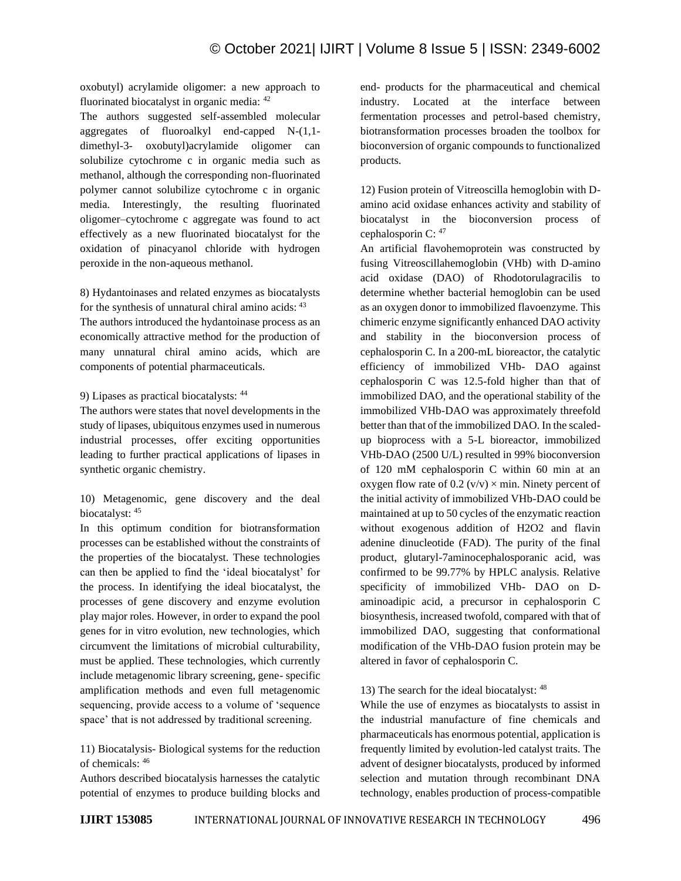oxobutyl) acrylamide oligomer: a new approach to fluorinated biocatalyst in organic media: <sup>42</sup>

The authors suggested self-assembled molecular aggregates of fluoroalkyl end-capped N-(1,1 dimethyl-3- oxobutyl)acrylamide oligomer can solubilize cytochrome c in organic media such as methanol, although the corresponding non-fluorinated polymer cannot solubilize cytochrome c in organic media. Interestingly, the resulting fluorinated oligomer–cytochrome c aggregate was found to act effectively as a new fluorinated biocatalyst for the oxidation of pinacyanol chloride with hydrogen peroxide in the non-aqueous methanol.

8) Hydantoinases and related enzymes as biocatalysts for the synthesis of unnatural chiral amino acids: <sup>43</sup>

The authors introduced the hydantoinase process as an economically attractive method for the production of many unnatural chiral amino acids, which are components of potential pharmaceuticals.

9) Lipases as practical biocatalysts: <sup>44</sup>

The authors were states that novel developments in the study of lipases, ubiquitous enzymes used in numerous industrial processes, offer exciting opportunities leading to further practical applications of lipases in synthetic organic chemistry.

10) Metagenomic, gene discovery and the deal biocatalyst: <sup>45</sup>

In this optimum condition for biotransformation processes can be established without the constraints of the properties of the biocatalyst. These technologies can then be applied to find the 'ideal biocatalyst' for the process. In identifying the ideal biocatalyst, the processes of gene discovery and enzyme evolution play major roles. However, in order to expand the pool genes for in vitro evolution, new technologies, which circumvent the limitations of microbial culturability, must be applied. These technologies, which currently include metagenomic library screening, gene- specific amplification methods and even full metagenomic sequencing, provide access to a volume of 'sequence space' that is not addressed by traditional screening.

11) Biocatalysis- Biological systems for the reduction of chemicals: 46

Authors described biocatalysis harnesses the catalytic potential of enzymes to produce building blocks and end- products for the pharmaceutical and chemical industry. Located at the interface between fermentation processes and petrol-based chemistry, biotransformation processes broaden the toolbox for bioconversion of organic compounds to functionalized products.

12) Fusion protein of Vitreoscilla hemoglobin with Damino acid oxidase enhances activity and stability of biocatalyst in the bioconversion process of cephalosporin C: 47

An artificial flavohemoprotein was constructed by fusing Vitreoscillahemoglobin (VHb) with D-amino acid oxidase (DAO) of Rhodotorulagracilis to determine whether bacterial hemoglobin can be used as an oxygen donor to immobilized flavoenzyme. This chimeric enzyme significantly enhanced DAO activity and stability in the bioconversion process of cephalosporin C. In a 200-mL bioreactor, the catalytic efficiency of immobilized VHb- DAO against cephalosporin C was 12.5-fold higher than that of immobilized DAO, and the operational stability of the immobilized VHb-DAO was approximately threefold better than that of the immobilized DAO. In the scaledup bioprocess with a 5-L bioreactor, immobilized VHb-DAO (2500 U/L) resulted in 99% bioconversion of 120 mM cephalosporin C within 60 min at an oxygen flow rate of  $0.2$  (v/v)  $\times$  min. Ninety percent of the initial activity of immobilized VHb-DAO could be maintained at up to 50 cycles of the enzymatic reaction without exogenous addition of H2O2 and flavin adenine dinucleotide (FAD). The purity of the final product, glutaryl-7aminocephalosporanic acid, was confirmed to be 99.77% by HPLC analysis. Relative specificity of immobilized VHb- DAO on Daminoadipic acid, a precursor in cephalosporin C biosynthesis, increased twofold, compared with that of immobilized DAO, suggesting that conformational modification of the VHb-DAO fusion protein may be altered in favor of cephalosporin C.

# 13) The search for the ideal biocatalyst: 48

While the use of enzymes as biocatalysts to assist in the industrial manufacture of fine chemicals and pharmaceuticals has enormous potential, application is frequently limited by evolution-led catalyst traits. The advent of designer biocatalysts, produced by informed selection and mutation through recombinant DNA technology, enables production of process-compatible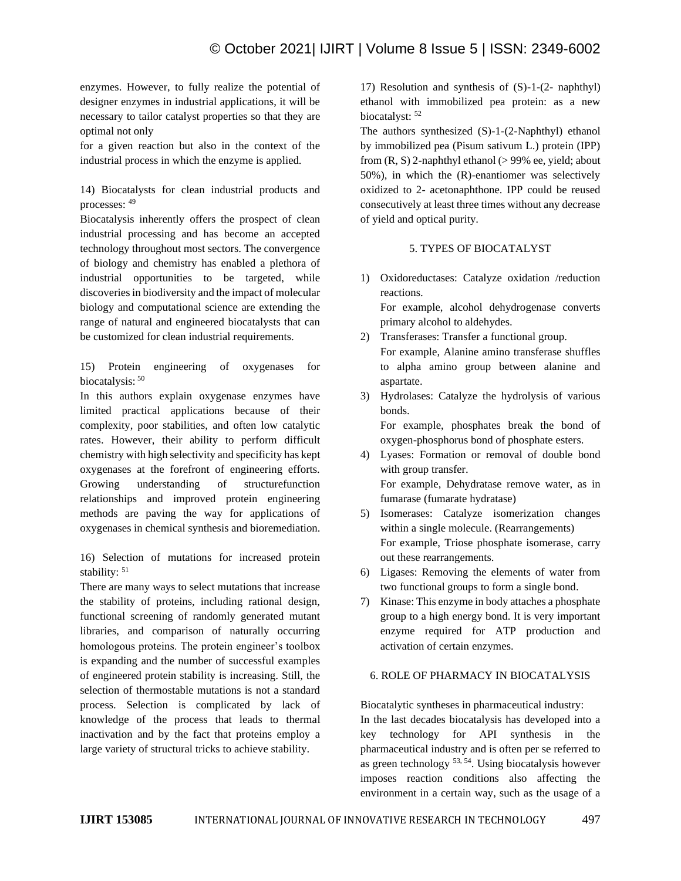enzymes. However, to fully realize the potential of designer enzymes in industrial applications, it will be necessary to tailor catalyst properties so that they are optimal not only

for a given reaction but also in the context of the industrial process in which the enzyme is applied.

14) Biocatalysts for clean industrial products and processes: <sup>49</sup>

Biocatalysis inherently offers the prospect of clean industrial processing and has become an accepted technology throughout most sectors. The convergence of biology and chemistry has enabled a plethora of industrial opportunities to be targeted, while discoveries in biodiversity and the impact of molecular biology and computational science are extending the range of natural and engineered biocatalysts that can be customized for clean industrial requirements.

15) Protein engineering of oxygenases for biocatalysis: 50

In this authors explain oxygenase enzymes have limited practical applications because of their complexity, poor stabilities, and often low catalytic rates. However, their ability to perform difficult chemistry with high selectivity and specificity has kept oxygenases at the forefront of engineering efforts. Growing understanding of structurefunction relationships and improved protein engineering methods are paving the way for applications of oxygenases in chemical synthesis and bioremediation.

16) Selection of mutations for increased protein stability: 51

There are many ways to select mutations that increase the stability of proteins, including rational design, functional screening of randomly generated mutant libraries, and comparison of naturally occurring homologous proteins. The protein engineer's toolbox is expanding and the number of successful examples of engineered protein stability is increasing. Still, the selection of thermostable mutations is not a standard process. Selection is complicated by lack of knowledge of the process that leads to thermal inactivation and by the fact that proteins employ a large variety of structural tricks to achieve stability.

17) Resolution and synthesis of (S)-1-(2- naphthyl) ethanol with immobilized pea protein: as a new biocatalyst:  $52$ 

The authors synthesized (S)-1-(2-Naphthyl) ethanol by immobilized pea (Pisum sativum L.) protein (IPP) from  $(R, S)$  2-naphthyl ethanol ( $> 99\%$  ee, yield; about 50%), in which the (R)-enantiomer was selectively oxidized to 2- acetonaphthone. IPP could be reused consecutively at least three times without any decrease of yield and optical purity.

# 5. TYPES OF BIOCATALYST

- 1) Oxidoreductases: Catalyze oxidation /reduction reactions. For example, alcohol dehydrogenase converts primary alcohol to aldehydes.
- 2) Transferases: Transfer a functional group. For example, Alanine amino transferase shuffles to alpha amino group between alanine and aspartate.
- 3) Hydrolases: Catalyze the hydrolysis of various bonds. For example, phosphates break the bond of oxygen-phosphorus bond of phosphate esters.
- 4) Lyases: Formation or removal of double bond with group transfer. For example, Dehydratase remove water, as in fumarase (fumarate hydratase)
- 5) Isomerases: Catalyze isomerization changes within a single molecule. (Rearrangements) For example, Triose phosphate isomerase, carry out these rearrangements.
- 6) Ligases: Removing the elements of water from two functional groups to form a single bond.
- 7) Kinase: This enzyme in body attaches a phosphate group to a high energy bond. It is very important enzyme required for ATP production and activation of certain enzymes.

# 6. ROLE OF PHARMACY IN BIOCATALYSIS

Biocatalytic syntheses in pharmaceutical industry:

In the last decades biocatalysis has developed into a key technology for API synthesis in the pharmaceutical industry and is often per se referred to as green technology 53, 54. Using biocatalysis however imposes reaction conditions also affecting the environment in a certain way, such as the usage of a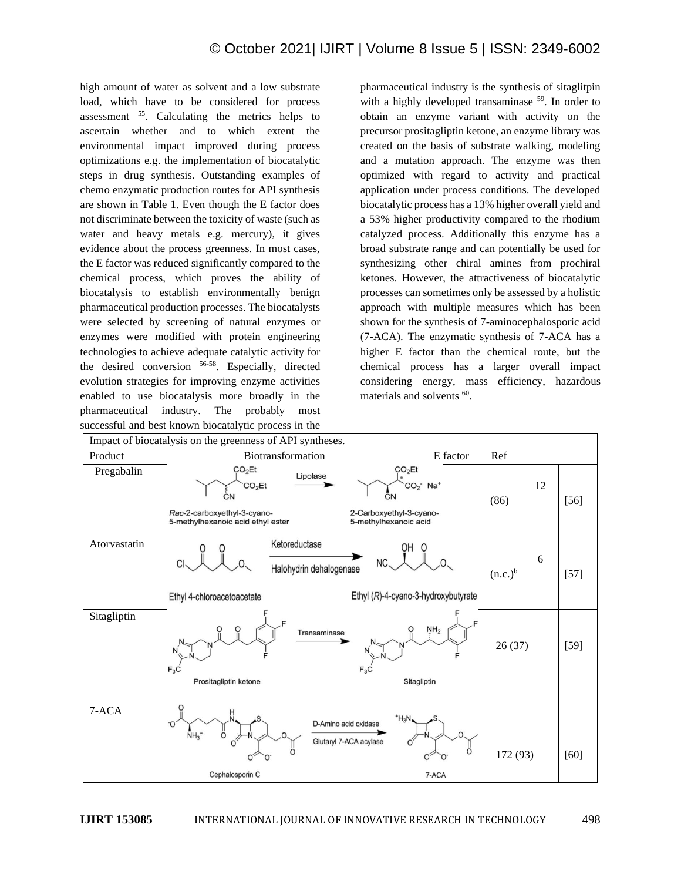high amount of water as solvent and a low substrate load, which have to be considered for process assessment <sup>55</sup>. Calculating the metrics helps to ascertain whether and to which extent the environmental impact improved during process optimizations e.g. the implementation of biocatalytic steps in drug synthesis. Outstanding examples of chemo enzymatic production routes for API synthesis are shown in Table 1. Even though the E factor does not discriminate between the toxicity of waste (such as water and heavy metals e.g. mercury), it gives evidence about the process greenness. In most cases, the E factor was reduced significantly compared to the chemical process, which proves the ability of biocatalysis to establish environmentally benign pharmaceutical production processes. The biocatalysts were selected by screening of natural enzymes or enzymes were modified with protein engineering technologies to achieve adequate catalytic activity for the desired conversion 56-58. Especially, directed evolution strategies for improving enzyme activities enabled to use biocatalysis more broadly in the pharmaceutical industry. The probably most successful and best known biocatalytic process in the

pharmaceutical industry is the synthesis of sitaglitpin with a highly developed transaminase <sup>59</sup>. In order to obtain an enzyme variant with activity on the precursor prositagliptin ketone, an enzyme library was created on the basis of substrate walking, modeling and a mutation approach. The enzyme was then optimized with regard to activity and practical application under process conditions. The developed biocatalytic process has a 13% higher overall yield and a 53% higher productivity compared to the rhodium catalyzed process. Additionally this enzyme has a broad substrate range and can potentially be used for synthesizing other chiral amines from prochiral ketones. However, the attractiveness of biocatalytic processes can sometimes only be assessed by a holistic approach with multiple measures which has been shown for the synthesis of 7-aminocephalosporic acid (7-ACA). The enzymatic synthesis of 7-ACA has a higher E factor than the chemical route, but the chemical process has a larger overall impact considering energy, mass efficiency, hazardous materials and solvents <sup>60</sup>.

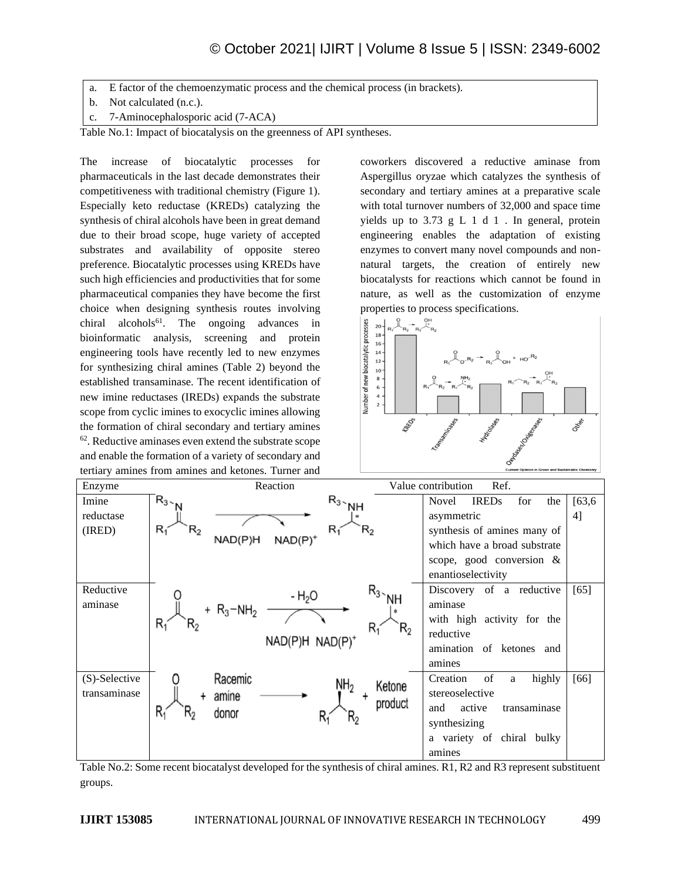- a. E factor of the chemoenzymatic process and the chemical process (in brackets).
- b. Not calculated (n.c.).
- c. 7-Aminocephalosporic acid (7-ACA)

Table No.1: Impact of biocatalysis on the greenness of API syntheses.

The increase of biocatalytic processes for pharmaceuticals in the last decade demonstrates their competitiveness with traditional chemistry (Figure 1). Especially keto reductase (KREDs) catalyzing the synthesis of chiral alcohols have been in great demand due to their broad scope, huge variety of accepted substrates and availability of opposite stereo preference. Biocatalytic processes using KREDs have such high efficiencies and productivities that for some pharmaceutical companies they have become the first choice when designing synthesis routes involving chiral alcohols<sup>61</sup>. The ongoing advances in bioinformatic analysis, screening and protein engineering tools have recently led to new enzymes for synthesizing chiral amines (Table 2) beyond the established transaminase. The recent identification of new imine reductases (IREDs) expands the substrate scope from cyclic imines to exocyclic imines allowing the formation of chiral secondary and tertiary amines <sup>62</sup>. Reductive aminases even extend the substrate scope and enable the formation of a variety of secondary and tertiary amines from amines and ketones. Turner and

coworkers discovered a reductive aminase from Aspergillus oryzae which catalyzes the synthesis of secondary and tertiary amines at a preparative scale with total turnover numbers of 32,000 and space time yields up to 3.73 g L 1 d 1 . In general, protein engineering enables the adaptation of existing enzymes to convert many novel compounds and nonnatural targets, the creation of entirely new biocatalysts for reactions which cannot be found in nature, as well as the customization of enzyme properties to process specifications.



| Enzyme                        | Reaction<br>Value contribution<br>Ref.                                                                     |                                                                                                                                                                    |               |
|-------------------------------|------------------------------------------------------------------------------------------------------------|--------------------------------------------------------------------------------------------------------------------------------------------------------------------|---------------|
| Imine<br>reductase<br>(IRED)  | $R_{3}$ NH<br>$R_{3}$ <sub>N</sub><br>$R_1$<br>$R_{2}$<br>$\mathsf{R}_2$<br>$R_1$<br>NAD(P)H<br>$NAD(P)^+$ | <b>IREDs</b><br>Novel<br>for<br>the<br>asymmetric<br>synthesis of amines many of<br>which have a broad substrate<br>scope, good conversion &<br>enantioselectivity | [63, 6]<br>4] |
| Reductive<br>aminase          | $R_{3}$ NH<br>$-H2O$<br>+ $R_3 - NH_2$<br>$R_i$<br>$\mathsf{R}_2$<br>Rí<br>$R_{2}$<br>$NAD(P)H NAD(P)^+$   | Discovery of a reductive<br>aminase<br>with high activity for the<br>reductive<br>amination of ketones and<br>amines                                               | [65]          |
| (S)-Selective<br>transaminase | Racemic<br>NH <sub>2</sub><br>Ketone<br>amine<br>product<br>$R_1$<br>donor<br>٦ο<br>N۵                     | of<br>Creation<br>highly<br>a<br>stereoselective<br>and<br>active<br>transaminase<br>synthesizing<br>a variety of chiral bulky<br>amines                           | [66]          |

Table No.2: Some recent biocatalyst developed for the synthesis of chiral amines. R1, R2 and R3 represent substituent groups.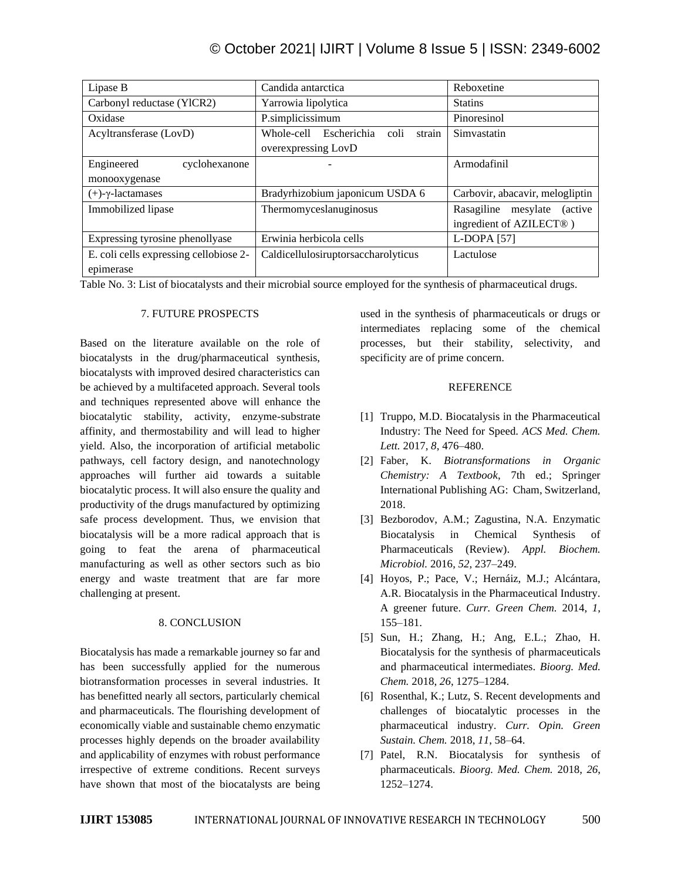| Lipase B                               | Candida antarctica                          | Reboxetine                                |  |
|----------------------------------------|---------------------------------------------|-------------------------------------------|--|
| Carbonyl reductase (YlCR2)             | Yarrowia lipolytica                         | <b>Statins</b>                            |  |
| Oxidase                                | P.simplicissimum                            | Pinoresinol                               |  |
| Acyltransferase (LovD)                 | Whole-cell<br>Escherichia<br>coli<br>strain | Simvastatin                               |  |
|                                        | overexpressing LovD                         |                                           |  |
| Engineered<br>cyclohexanone            |                                             | Armodafinil                               |  |
| monooxygenase                          |                                             |                                           |  |
| $(+)$ - $\gamma$ -lactamases           | Bradyrhizobium japonicum USDA 6             | Carbovir, abacavir, melogliptin           |  |
| Immobilized lipase                     | Thermomyceslanuginosus                      | Rasagiline<br>mesylate<br><i>(active)</i> |  |
|                                        |                                             | ingredient of AZILECT <sup>®</sup> )      |  |
| Expressing tyrosine phenollyase        | Erwinia herbicola cells                     | $L$ -DOPA $[57]$                          |  |
| E. coli cells expressing cellobiose 2- | Caldicellulosiruptorsaccharolyticus         | Lactulose                                 |  |
| epimerase                              |                                             |                                           |  |

Table No. 3: List of biocatalysts and their microbial source employed for the synthesis of pharmaceutical drugs.

# 7. FUTURE PROSPECTS

Based on the literature available on the role of biocatalysts in the drug/pharmaceutical synthesis, biocatalysts with improved desired characteristics can be achieved by a multifaceted approach. Several tools and techniques represented above will enhance the biocatalytic stability, activity, enzyme-substrate affinity, and thermostability and will lead to higher yield. Also, the incorporation of artificial metabolic pathways, cell factory design, and nanotechnology approaches will further aid towards a suitable biocatalytic process. It will also ensure the quality and productivity of the drugs manufactured by optimizing safe process development. Thus, we envision that biocatalysis will be a more radical approach that is going to feat the arena of pharmaceutical manufacturing as well as other sectors such as bio energy and waste treatment that are far more challenging at present.

# 8. CONCLUSION

Biocatalysis has made a remarkable journey so far and has been successfully applied for the numerous biotransformation processes in several industries. It has benefitted nearly all sectors, particularly chemical and pharmaceuticals. The flourishing development of economically viable and sustainable chemo enzymatic processes highly depends on the broader availability and applicability of enzymes with robust performance irrespective of extreme conditions. Recent surveys have shown that most of the biocatalysts are being used in the synthesis of pharmaceuticals or drugs or intermediates replacing some of the chemical processes, but their stability, selectivity, and specificity are of prime concern.

# REFERENCE

- [1] Truppo, M.D. Biocatalysis in the Pharmaceutical Industry: The Need for Speed. *ACS Med. Chem. Lett.* 2017, *8*, 476–480.
- [2] Faber, K. *Biotransformations in Organic Chemistry: A Textbook*, 7th ed.; Springer International Publishing AG: Cham, Switzerland, 2018.
- [3] Bezborodov, A.M.; Zagustina, N.A. Enzymatic Biocatalysis in Chemical Synthesis of Pharmaceuticals (Review). *Appl. Biochem. Microbiol.* 2016, *52*, 237–249.
- [4] Hoyos, P.; Pace, V.; Hernáiz, M.J.; Alcántara, A.R. Biocatalysis in the Pharmaceutical Industry. A greener future. *Curr. Green Chem.* 2014, *1*, 155–181.
- [5] Sun, H.; Zhang, H.; Ang, E.L.; Zhao, H. Biocatalysis for the synthesis of pharmaceuticals and pharmaceutical intermediates. *Bioorg. Med. Chem.* 2018, *26*, 1275–1284.
- [6] Rosenthal, K.; Lutz, S. Recent developments and challenges of biocatalytic processes in the pharmaceutical industry. *Curr. Opin. Green Sustain. Chem.* 2018, *11*, 58–64.
- [7] Patel, R.N. Biocatalysis for synthesis of pharmaceuticals. *Bioorg. Med. Chem.* 2018, *26*, 1252–1274.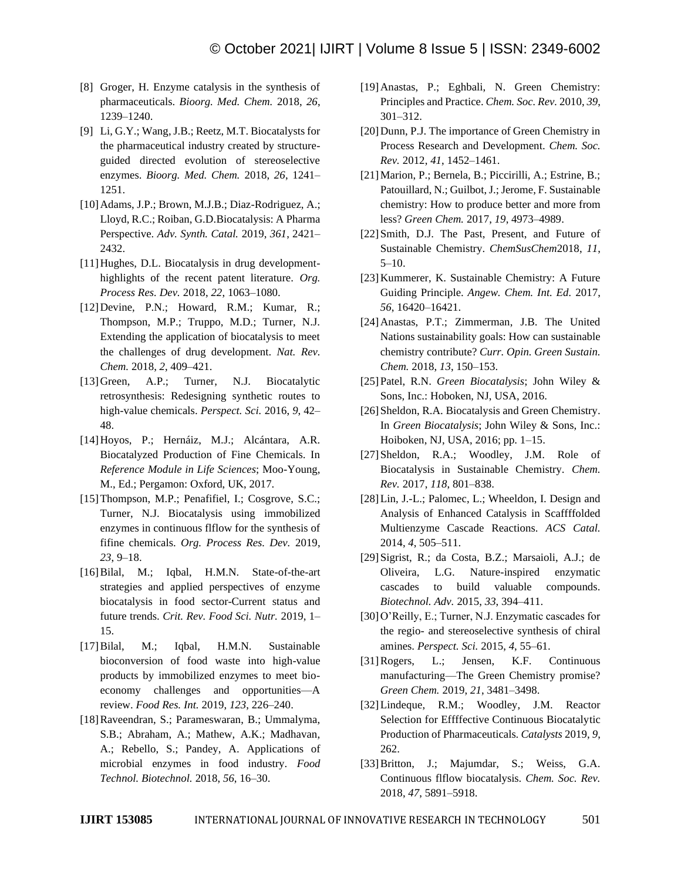- [8] Groger, H. Enzyme catalysis in the synthesis of pharmaceuticals. *Bioorg. Med. Chem.* 2018, *26*, 1239–1240.
- [9] Li, G.Y.; Wang, J.B.; Reetz, M.T. Biocatalysts for the pharmaceutical industry created by structureguided directed evolution of stereoselective enzymes. *Bioorg. Med. Chem.* 2018, *26*, 1241– 1251.
- [10]Adams, J.P.; Brown, M.J.B.; Diaz-Rodriguez, A.; Lloyd, R.C.; Roiban, G.D.Biocatalysis: A Pharma Perspective. *Adv. Synth. Catal.* 2019, *361*, 2421– 2432.
- [11]Hughes, D.L. Biocatalysis in drug developmenthighlights of the recent patent literature. *Org. Process Res. Dev.* 2018, *22*, 1063–1080.
- [12]Devine, P.N.; Howard, R.M.; Kumar, R.; Thompson, M.P.; Truppo, M.D.; Turner, N.J. Extending the application of biocatalysis to meet the challenges of drug development. *Nat. Rev. Chem.* 2018, *2*, 409–421.
- [13]Green, A.P.; Turner, N.J. Biocatalytic retrosynthesis: Redesigning synthetic routes to high-value chemicals. *Perspect. Sci.* 2016, *9*, 42– 48.
- [14]Hoyos, P.; Hernáiz, M.J.; Alcántara, A.R. Biocatalyzed Production of Fine Chemicals. In *Reference Module in Life Sciences*; Moo-Young, M., Ed.; Pergamon: Oxford, UK, 2017.
- [15]Thompson, M.P.; Penafifiel, I.; Cosgrove, S.C.; Turner, N.J. Biocatalysis using immobilized enzymes in continuous flflow for the synthesis of fifine chemicals. *Org. Process Res. Dev.* 2019, *23*, 9–18.
- [16]Bilal, M.; Iqbal, H.M.N. State-of-the-art strategies and applied perspectives of enzyme biocatalysis in food sector-Current status and future trends. *Crit. Rev. Food Sci. Nutr.* 2019, 1– 15.
- [17]Bilal, M.; Iqbal, H.M.N. Sustainable bioconversion of food waste into high-value products by immobilized enzymes to meet bioeconomy challenges and opportunities—A review. *Food Res. Int.* 2019, *123*, 226–240.
- [18]Raveendran, S.; Parameswaran, B.; Ummalyma, S.B.; Abraham, A.; Mathew, A.K.; Madhavan, A.; Rebello, S.; Pandey, A. Applications of microbial enzymes in food industry. *Food Technol. Biotechnol.* 2018, *56*, 16–30.
- [19]Anastas, P.; Eghbali, N. Green Chemistry: Principles and Practice. *Chem. Soc. Rev.* 2010, *39*, 301–312.
- [20] Dunn, P.J. The importance of Green Chemistry in Process Research and Development. *Chem. Soc. Rev.* 2012, *41*, 1452–1461.
- [21]Marion, P.; Bernela, B.; Piccirilli, A.; Estrine, B.; Patouillard, N.; Guilbot, J.; Jerome, F. Sustainable chemistry: How to produce better and more from less? *Green Chem.* 2017, *19*, 4973–4989.
- [22] Smith, D.J. The Past, Present, and Future of Sustainable Chemistry. *ChemSusChem*2018, *11*, 5–10.
- [23]Kummerer, K. Sustainable Chemistry: A Future Guiding Principle. *Angew. Chem. Int. Ed.* 2017, *56*, 16420–16421.
- [24]Anastas, P.T.; Zimmerman, J.B. The United Nations sustainability goals: How can sustainable chemistry contribute? *Curr. Opin. Green Sustain. Chem.* 2018, *13*, 150–153.
- [25]Patel, R.N. *Green Biocatalysis*; John Wiley & Sons, Inc.: Hoboken, NJ, USA, 2016.
- [26] Sheldon, R.A. Biocatalysis and Green Chemistry. In *Green Biocatalysis*; John Wiley & Sons, Inc.: Hoiboken, NJ, USA, 2016; pp. 1–15.
- [27] Sheldon, R.A.; Woodley, J.M. Role of Biocatalysis in Sustainable Chemistry. *Chem. Rev.* 2017, *118*, 801–838.
- [28] Lin, J.-L.; Palomec, L.; Wheeldon, I. Design and Analysis of Enhanced Catalysis in Scaffffolded Multienzyme Cascade Reactions. *ACS Catal.*  2014, *4*, 505–511.
- [29]Sigrist, R.; da Costa, B.Z.; Marsaioli, A.J.; de Oliveira, L.G. Nature-inspired enzymatic cascades to build valuable compounds. *Biotechnol. Adv.* 2015, *33*, 394–411.
- [30]O'Reilly, E.; Turner, N.J. Enzymatic cascades for the regio- and stereoselective synthesis of chiral amines. *Perspect. Sci.* 2015, *4*, 55–61.
- [31]Rogers, L.; Jensen, K.F. Continuous manufacturing—The Green Chemistry promise? *Green Chem.* 2019, *21*, 3481–3498.
- [32]Lindeque, R.M.; Woodley, J.M. Reactor Selection for Effffective Continuous Biocatalytic Production of Pharmaceuticals. *Catalysts* 2019, *9*, 262.
- [33] Britton, J.; Majumdar, S.; Weiss, G.A. Continuous flflow biocatalysis. *Chem. Soc. Rev.*  2018, *47*, 5891–5918.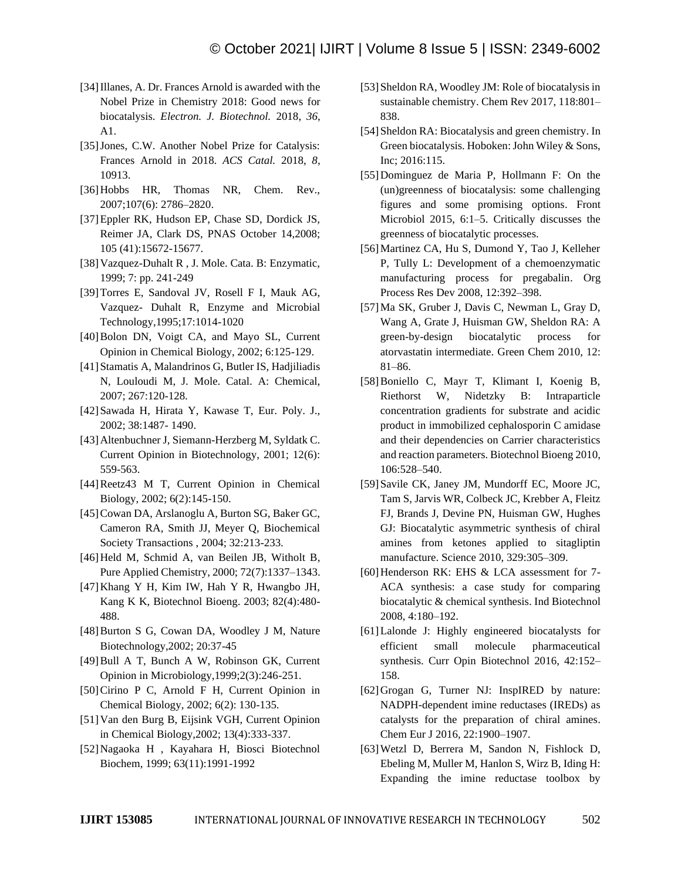- [34] Illanes, A. Dr. Frances Arnold is awarded with the Nobel Prize in Chemistry 2018: Good news for biocatalysis. *Electron. J. Biotechnol.* 2018, *36*, A1.
- [35]Jones, C.W. Another Nobel Prize for Catalysis: Frances Arnold in 2018. *ACS Catal.* 2018, *8*, 10913.
- [36]Hobbs HR, Thomas NR, Chem. Rev., 2007;107(6): 2786–2820.
- [37]Eppler RK, Hudson EP, Chase SD, Dordick JS, Reimer JA, Clark DS, PNAS October 14,2008; 105 (41):15672-15677.
- [38]Vazquez-Duhalt R , J. Mole. Cata. B: Enzymatic, 1999; 7: pp. 241-249
- [39]Torres E, Sandoval JV, Rosell F I, Mauk AG, Vazquez- Duhalt R, Enzyme and Microbial Technology,1995;17:1014-1020
- [40]Bolon DN, Voigt CA, and Mayo SL, Current Opinion in Chemical Biology, 2002; 6:125-129.
- [41]Stamatis A, Malandrinos G, Butler IS, Hadjiliadis N, Louloudi M, J. Mole. Catal. A: Chemical, 2007; 267:120-128.
- [42]Sawada H, Hirata Y, Kawase T, Eur. Poly. J., 2002; 38:1487- 1490.
- [43]Altenbuchner J, Siemann-Herzberg M, Syldatk C. Current Opinion in Biotechnology, 2001; 12(6): 559-563.
- [44]Reetz43 M T, Current Opinion in Chemical Biology, 2002; 6(2):145-150.
- [45]Cowan DA, Arslanoglu A, Burton SG, Baker GC, Cameron RA, Smith JJ, Meyer Q, Biochemical Society Transactions , 2004; 32:213-233.
- [46]Held M, Schmid A, van Beilen JB, Witholt B, Pure Applied Chemistry, 2000; 72(7):1337–1343.
- [47]Khang Y H, Kim IW, Hah Y R, Hwangbo JH, Kang K K, Biotechnol Bioeng. 2003; 82(4):480- 488.
- [48]Burton S G, Cowan DA, Woodley J M, Nature Biotechnology,2002; 20:37-45
- [49]Bull A T, Bunch A W, Robinson GK, Current Opinion in Microbiology,1999;2(3):246-251.
- [50]Cirino P C, Arnold F H, Current Opinion in Chemical Biology, 2002; 6(2): 130-135.
- [51]Van den Burg B, Eijsink VGH, Current Opinion in Chemical Biology,2002; 13(4):333-337.
- [52]Nagaoka H , Kayahara H, Biosci Biotechnol Biochem, 1999; 63(11):1991-1992
- [53] Sheldon RA, Woodley JM: Role of biocatalysis in sustainable chemistry. Chem Rev 2017, 118:801– 838.
- [54] Sheldon RA: Biocatalysis and green chemistry. In Green biocatalysis. Hoboken: John Wiley & Sons, Inc; 2016:115.
- [55]Dominguez de Maria P, Hollmann F: On the (un)greenness of biocatalysis: some challenging figures and some promising options. Front Microbiol 2015, 6:1–5. Critically discusses the greenness of biocatalytic processes.
- [56]Martinez CA, Hu S, Dumond Y, Tao J, Kelleher P, Tully L: Development of a chemoenzymatic manufacturing process for pregabalin. Org Process Res Dev 2008, 12:392–398.
- [57]Ma SK, Gruber J, Davis C, Newman L, Gray D, Wang A, Grate J, Huisman GW, Sheldon RA: A green-by-design biocatalytic process for atorvastatin intermediate. Green Chem 2010, 12: 81–86.
- [58]Boniello C, Mayr T, Klimant I, Koenig B, Riethorst W, Nidetzky B: Intraparticle concentration gradients for substrate and acidic product in immobilized cephalosporin C amidase and their dependencies on Carrier characteristics and reaction parameters. Biotechnol Bioeng 2010, 106:528–540.
- [59] Savile CK, Janey JM, Mundorff EC, Moore JC, Tam S, Jarvis WR, Colbeck JC, Krebber A, Fleitz FJ, Brands J, Devine PN, Huisman GW, Hughes GJ: Biocatalytic asymmetric synthesis of chiral amines from ketones applied to sitagliptin manufacture. Science 2010, 329:305–309.
- [60] Henderson RK: EHS & LCA assessment for 7-ACA synthesis: a case study for comparing biocatalytic & chemical synthesis. Ind Biotechnol 2008, 4:180–192.
- [61]Lalonde J: Highly engineered biocatalysts for efficient small molecule pharmaceutical synthesis. Curr Opin Biotechnol 2016, 42:152– 158.
- [62]Grogan G, Turner NJ: InspIRED by nature: NADPH-dependent imine reductases (IREDs) as catalysts for the preparation of chiral amines. Chem Eur J 2016, 22:1900–1907.
- [63]Wetzl D, Berrera M, Sandon N, Fishlock D, Ebeling M, Muller M, Hanlon S, Wirz B, Iding H: Expanding the imine reductase toolbox by